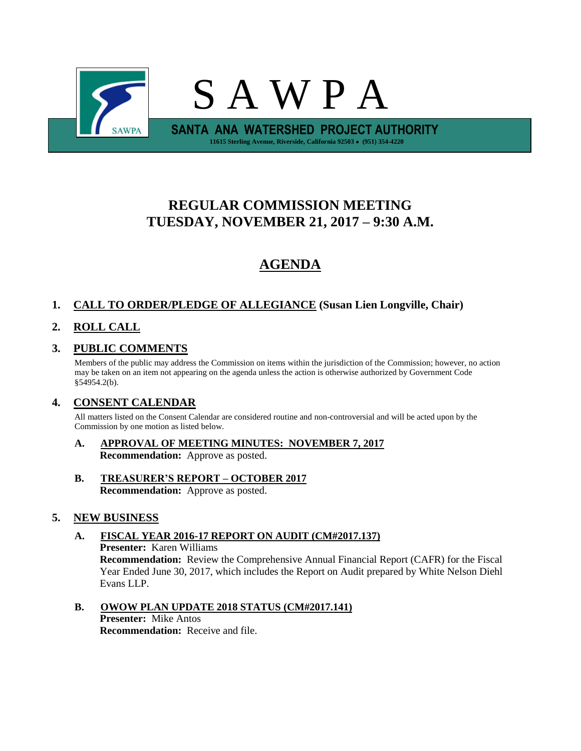

# **REGULAR COMMISSION MEETING TUESDAY, NOVEMBER 21, 2017 – 9:30 A.M.**

# **AGENDA**

## **1. CALL TO ORDER/PLEDGE OF ALLEGIANCE (Susan Lien Longville, Chair)**

## **2. ROLL CALL**

## **3. PUBLIC COMMENTS**

Members of the public may address the Commission on items within the jurisdiction of the Commission; however, no action may be taken on an item not appearing on the agenda unless the action is otherwise authorized by Government Code §54954.2(b).

## **4. CONSENT CALENDAR**

All matters listed on the Consent Calendar are considered routine and non-controversial and will be acted upon by the Commission by one motion as listed below.

- **A. APPROVAL OF MEETING MINUTES: NOVEMBER 7, 2017 Recommendation:** Approve as posted.
- **B. TREASURER'S REPORT – OCTOBER 2017 Recommendation:** Approve as posted.

## **5. NEW BUSINESS**

### **A. FISCAL YEAR 2016-17 REPORT ON AUDIT (CM#2017.137) Presenter:** Karen Williams

**Recommendation:** Review the Comprehensive Annual Financial Report (CAFR) for the Fiscal Year Ended June 30, 2017, which includes the Report on Audit prepared by White Nelson Diehl Evans LLP.

## **B. OWOW PLAN UPDATE 2018 STATUS (CM#2017.141) Presenter:** Mike Antos

**Recommendation:** Receive and file.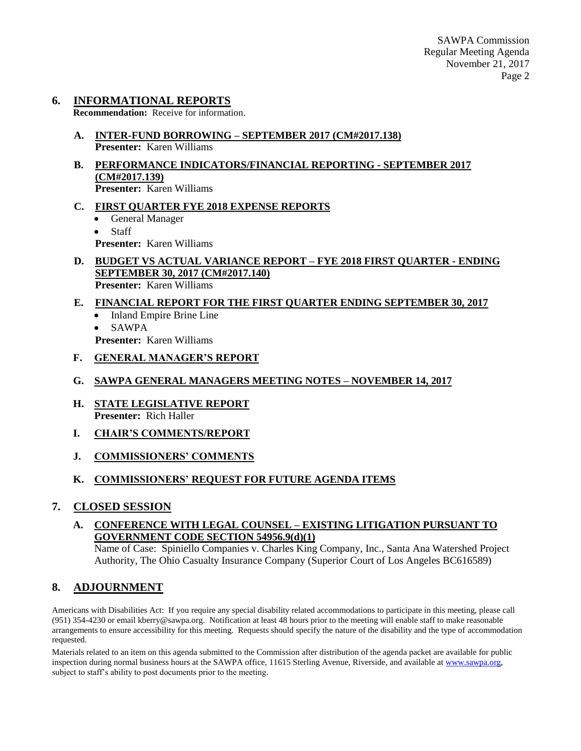## **6. INFORMATIONAL REPORTS**

**Recommendation:** Receive for information.

- **A. INTER-FUND BORROWING – SEPTEMBER 2017 (CM#2017.138) Presenter:** Karen Williams
- **B. PERFORMANCE INDICATORS/FINANCIAL REPORTING - SEPTEMBER 2017 (CM#2017.139) Presenter:** Karen Williams
- **C. FIRST QUARTER FYE 2018 EXPENSE REPORTS**
	- General Manager
	- Staff **Presenter:** Karen Williams
- **D. BUDGET VS ACTUAL VARIANCE REPORT – FYE 2018 FIRST QUARTER - ENDING SEPTEMBER 30, 2017 (CM#2017.140) Presenter:** Karen Williams

## **E. FINANCIAL REPORT FOR THE FIRST QUARTER ENDING SEPTEMBER 30, 2017**

- Inland Empire Brine Line
- SAWPA
- **Presenter:** Karen Williams
- **F. GENERAL MANAGER'S REPORT**
- **G. SAWPA GENERAL MANAGERS MEETING NOTES – NOVEMBER 14, 2017**
- **H. STATE LEGISLATIVE REPORT Presenter:** Rich Haller
- **I. CHAIR'S COMMENTS/REPORT**
- **J. COMMISSIONERS' COMMENTS**

## **K. COMMISSIONERS' REQUEST FOR FUTURE AGENDA ITEMS**

## **7. CLOSED SESSION**

## **A. CONFERENCE WITH LEGAL COUNSEL – EXISTING LITIGATION PURSUANT TO GOVERNMENT CODE SECTION 54956.9(d)(1)**

Name of Case: Spiniello Companies v. Charles King Company, Inc., Santa Ana Watershed Project Authority, The Ohio Casualty Insurance Company (Superior Court of Los Angeles BC616589)

## **8. ADJOURNMENT**

Americans with Disabilities Act: If you require any special disability related accommodations to participate in this meeting, please call (951) 354-4230 or email kberry@sawpa.org. Notification at least 48 hours prior to the meeting will enable staff to make reasonable arrangements to ensure accessibility for this meeting. Requests should specify the nature of the disability and the type of accommodation requested.

Materials related to an item on this agenda submitted to the Commission after distribution of the agenda packet are available for public inspection during normal business hours at the SAWPA office, 11615 Sterling Avenue, Riverside, and available a[t www.sawpa.org,](http://www.sawpa.org/) subject to staff's ability to post documents prior to the meeting.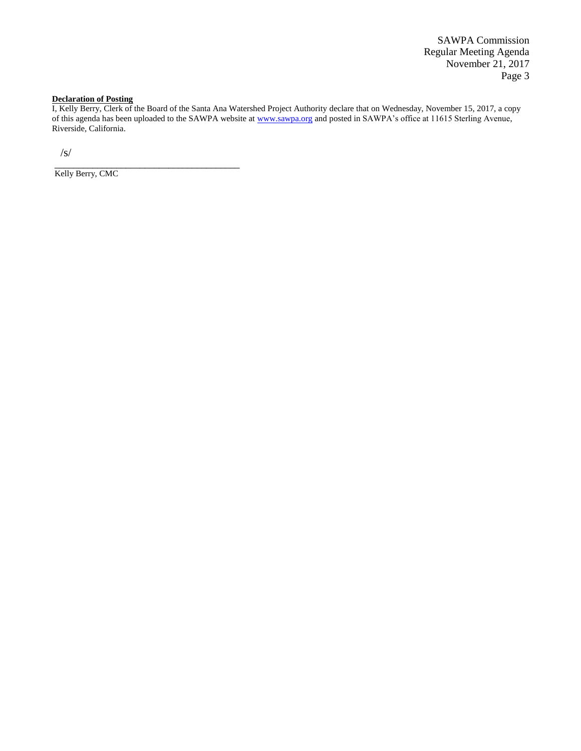SAWPA Commission Regular Meeting Agenda November 21, 2017 Page 3

#### **Declaration of Posting**

I, Kelly Berry, Clerk of the Board of the Santa Ana Watershed Project Authority declare that on Wednesday, November 15, 2017, a copy of this agenda has been uploaded to the SAWPA website at [www.sawpa.org](http://www.sawpa.org/) and posted in SAWPA's office at 11615 Sterling Avenue, Riverside, California.

/s/

Kelly Berry, CMC

\_\_\_\_\_\_\_\_\_\_\_\_\_\_\_\_\_\_\_\_\_\_\_\_\_\_\_\_\_\_\_\_\_\_\_\_\_\_\_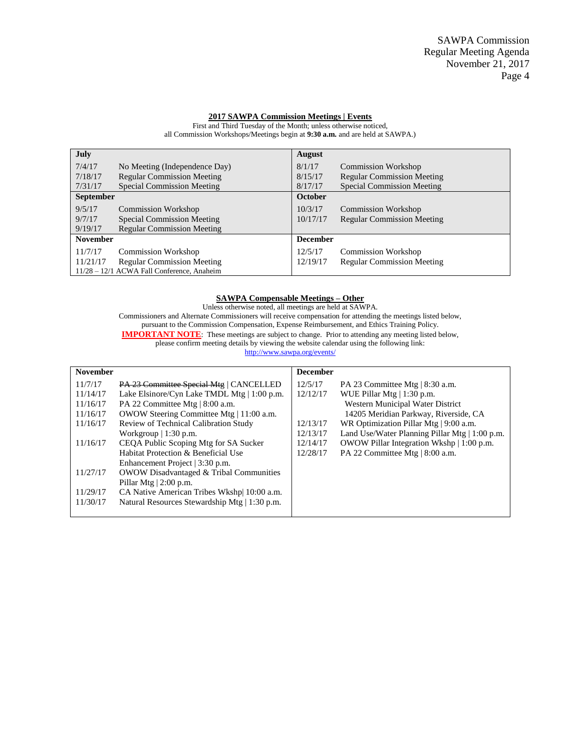#### **2017 SAWPA Commission Meetings | Events**

**July** 7/4/17 No Meeting (Independence Day) 7/18/17 Regular Commission Meeting 7/31/17 Special Commission Meeting **August** 8/1/17 Commission Workshop 8/15/17 Regular Commission Meeting 8/17/17 Special Commission Meeting **September** 9/5/17 Commission Workshop<br>9/7/17 Special Commission Me 9/7/17 Special Commission Meeting<br>9/19/17 Regular Commission Meeting Regular Commission Meeting **October** 10/3/17 Commission Workshop 10/17/17 Regular Commission Meeting **November** 11/7/17 Commission Workshop 11/21/17 Regular Commission Meeting **December** 12/5/17 Commission Workshop 12/19/17 Regular Commission Meeting

11/28 – 12/1 ACWA Fall Conference, Anaheim

First and Third Tuesday of the Month; unless otherwise noticed, all Commission Workshops/Meetings begin at **9:30 a.m.** and are held at SAWPA.)

#### **SAWPA Compensable Meetings – Other**

Unless otherwise noted, all meetings are held at SAWPA. Commissioners and Alternate Commissioners will receive compensation for attending the meetings listed below, pursuant to the Commission Compensation, Expense Reimbursement, and Ethics Training Policy. **IMPORTANT NOTE:** These meetings are subject to change. Prior to attending any meeting listed below, please confirm meeting details by viewing the website calendar using the following link: <http://www.sawpa.org/events/>

|                                                  | <b>December</b> |                                                |
|--------------------------------------------------|-----------------|------------------------------------------------|
| PA 23 Committee Special Mtg   CANCELLED          | 12/5/17         | PA 23 Committee Mtg $ 8:30$ a.m.               |
| Lake Elsinore/Cyn Lake TMDL Mtg $\mid$ 1:00 p.m. | 12/12/17        | WUE Pillar Mtg $  1:30$ p.m.                   |
| PA 22 Committee Mtg   8:00 a.m.                  |                 | Western Municipal Water District               |
| OWOW Steering Committee Mtg   11:00 a.m.         |                 | 14205 Meridian Parkway, Riverside, CA          |
| Review of Technical Calibration Study            | 12/13/17        | WR Optimization Pillar Mtg   9:00 a.m.         |
| Workgroup $\vert$ 1:30 p.m.                      | 12/13/17        | Land Use/Water Planning Pillar Mtg   1:00 p.m. |
| CEQA Public Scoping Mtg for SA Sucker            | 12/14/17        | OWOW Pillar Integration Wkshp   1:00 p.m.      |
| Habitat Protection & Beneficial Use              | 12/28/17        | PA 22 Committee Mtg   8:00 a.m.                |
| Enhancement Project   3:30 p.m.                  |                 |                                                |
| OWOW Disadvantaged & Tribal Communities          |                 |                                                |
| Pillar Mtg $ 2:00$ p.m.                          |                 |                                                |
| CA Native American Tribes Wkshp 10:00 a.m.       |                 |                                                |
| Natural Resources Stewardship Mtg   1:30 p.m.    |                 |                                                |
|                                                  |                 |                                                |
|                                                  |                 |                                                |